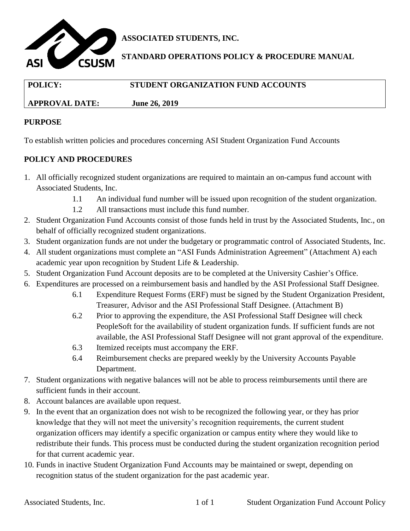

**ASSOCIATED STUDENTS, INC.**

**STANDARD OPERATIONS POLICY & PROCEDURE MANUAL**

| <b>POLICY:</b>        | STUDENT ORGANIZATION FUND ACCOUNTS |
|-----------------------|------------------------------------|
| <b>APPROVAL DATE:</b> | <b>June 26, 2019</b>               |

## **PURPOSE**

To establish written policies and procedures concerning ASI Student Organization Fund Accounts

## **POLICY AND PROCEDURES**

- 1. All officially recognized student organizations are required to maintain an on-campus fund account with Associated Students, Inc.
	- 1.1 An individual fund number will be issued upon recognition of the student organization.
	- 1.2 All transactions must include this fund number.
- 2. Student Organization Fund Accounts consist of those funds held in trust by the Associated Students, Inc., on behalf of officially recognized student organizations.
- 3. Student organization funds are not under the budgetary or programmatic control of Associated Students, Inc.
- 4. All student organizations must complete an "ASI Funds Administration Agreement" (Attachment A) each academic year upon recognition by Student Life & Leadership.
- 5. Student Organization Fund Account deposits are to be completed at the University Cashier's Office.
- 6. Expenditures are processed on a reimbursement basis and handled by the ASI Professional Staff Designee.
	- 6.1 Expenditure Request Forms (ERF) must be signed by the Student Organization President, Treasurer, Advisor and the ASI Professional Staff Designee. (Attachment B)
	- 6.2 Prior to approving the expenditure, the ASI Professional Staff Designee will check PeopleSoft for the availability of student organization funds. If sufficient funds are not available, the ASI Professional Staff Designee will not grant approval of the expenditure.
	- 6.3 Itemized receipts must accompany the ERF.
	- 6.4 Reimbursement checks are prepared weekly by the University Accounts Payable Department.
- 7. Student organizations with negative balances will not be able to process reimbursements until there are sufficient funds in their account.
- 8. Account balances are available upon request.
- 9. In the event that an organization does not wish to be recognized the following year, or they has prior knowledge that they will not meet the university's recognition requirements, the current student organization officers may identify a specific organization or campus entity where they would like to redistribute their funds. This process must be conducted during the student organization recognition period for that current academic year.
- 10. Funds in inactive Student Organization Fund Accounts may be maintained or swept, depending on recognition status of the student organization for the past academic year.